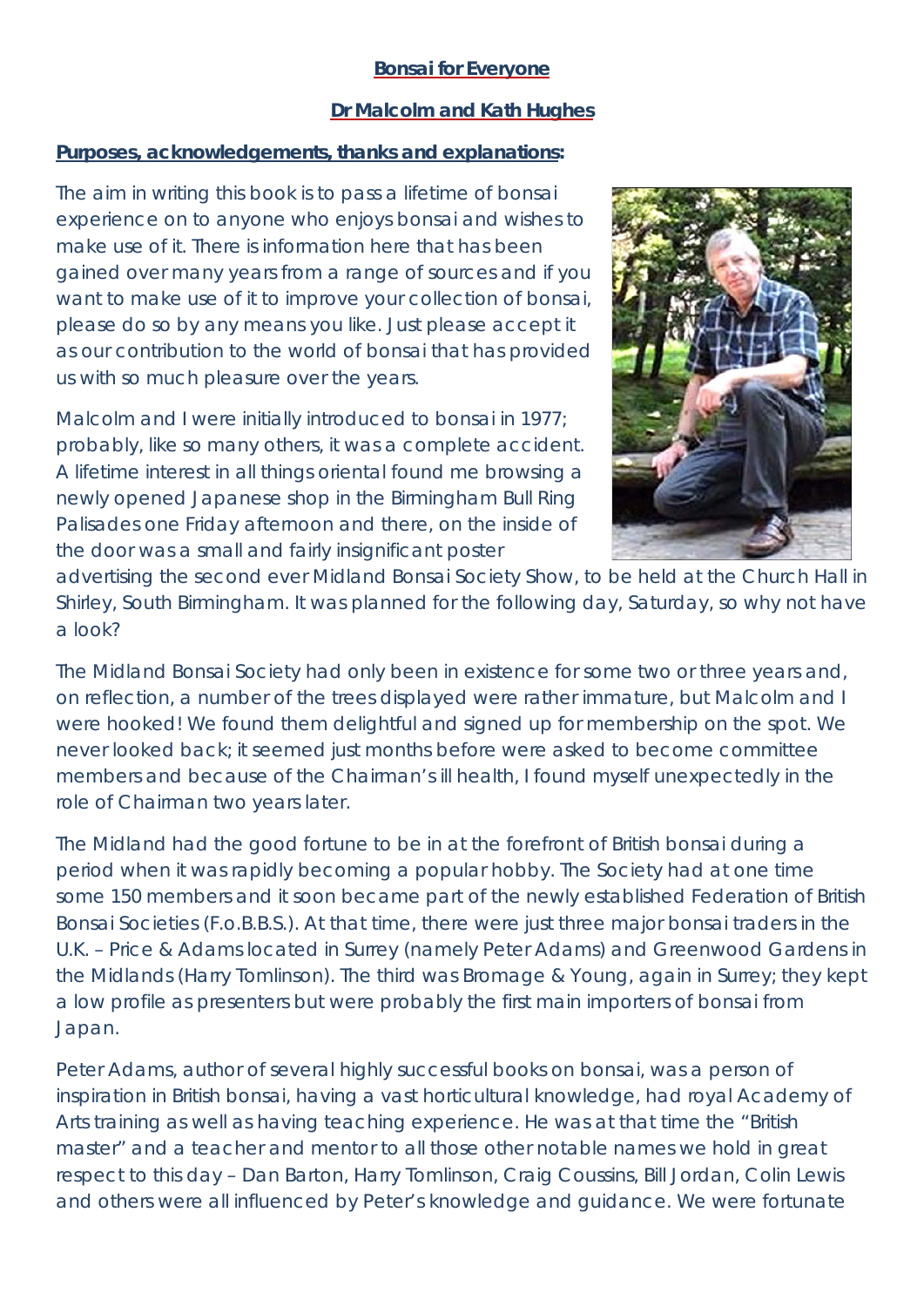## **Bonsai for Everyone**

## **Dr Malcolm and Kath Hughes**

## **Purposes, acknowledgements, thanks and explanations:**

The aim in writing this book is to pass a lifetime of bonsai experience on to anyone who enjoys bonsai and wishes to make use of it. There is information here that has been gained over many years from a range of sources and if you want to make use of it to improve your collection of bonsai, please do so by any means you like. Just please accept it as our contribution to the world of bonsai that has provided us with so much pleasure over the years.

Malcolm and I were initially introduced to bonsai in 1977; probably, like so many others, it was a complete accident. A lifetime interest in all things oriental found me browsing a newly opened Japanese shop in the Birmingham Bull Ring Palisades one Friday afternoon and there, on the inside of the door was a small and fairly insignificant poster



advertising the second ever Midland Bonsai Society Show, to be held at the Church Hall in Shirley, South Birmingham. It was planned for the following day, Saturday, so why not have a look?

The Midland Bonsai Society had only been in existence for some two or three years and, on reflection, a number of the trees displayed were rather immature, but Malcolm and I were hooked! We found them delightful and signed up for membership on the spot. We never looked back; it seemed just months before were asked to become committee members and because of the Chairman's ill health, I found myself unexpectedly in the role of Chairman two years later.

The Midland had the good fortune to be in at the forefront of British bonsai during a period when it was rapidly becoming a popular hobby. The Society had at one time some 150 members and it soon became part of the newly established Federation of British Bonsai Societies (F.o.B.B.S.). At that time, there were just three major bonsai traders in the U.K. – Price & Adams located in Surrey (namely Peter Adams) and Greenwood Gardens in the Midlands (Harry Tomlinson). The third was Bromage & Young, again in Surrey; they kept a low profile as presenters but were probably the first main importers of bonsai from Japan.

Peter Adams, author of several highly successful books on bonsai, was a person of inspiration in British bonsai, having a vast horticultural knowledge, had royal Academy of Arts training as well as having teaching experience. He was at that time the "British master" and a teacher and mentor to all those other notable names we hold in great respect to this day – Dan Barton, Harry Tomlinson, Craig Coussins, Bill Jordan, Colin Lewis and others were all influenced by Peter's knowledge and guidance. We were fortunate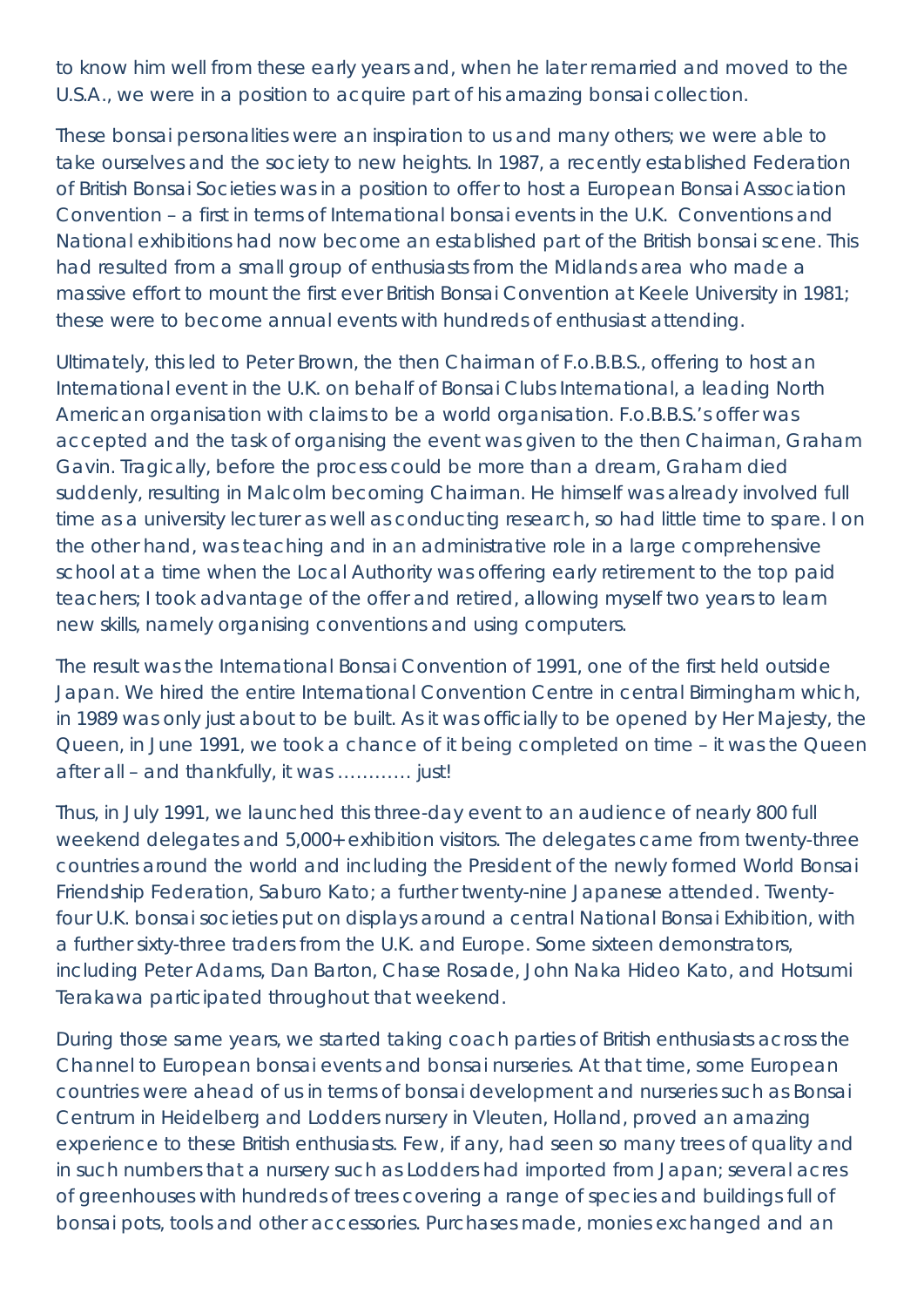to know him well from these early years and, when he later remarried and moved to the U.S.A., we were in a position to acquire part of his amazing bonsai collection.

These bonsai personalities were an inspiration to us and many others; we were able to take ourselves and the society to new heights. In 1987, a recently established Federation of British Bonsai Societies was in a position to offer to host a European Bonsai Association Convention – a first in terms of International bonsai events in the U.K. Conventions and National exhibitions had now become an established part of the British bonsai scene. This had resulted from a small group of enthusiasts from the Midlands area who made a massive effort to mount the first ever British Bonsai Convention at Keele University in 1981; these were to become annual events with hundreds of enthusiast attending.

Ultimately, this led to Peter Brown, the then Chairman of F.o.B.B.S., offering to host an International event in the U.K. on behalf of Bonsai Clubs International, a leading North American organisation with claims to be a world organisation. F.o.B.B.S.'s offer was accepted and the task of organising the event was given to the then Chairman, Graham Gavin. Tragically, before the process could be more than a dream, Graham died suddenly, resulting in Malcolm becoming Chairman. He himself was already involved full time as a university lecturer as well as conducting research, so had little time to spare. I on the other hand, was teaching and in an administrative role in a large comprehensive school at a time when the Local Authority was offering early retirement to the top paid teachers; I took advantage of the offer and retired, allowing myself two years to learn new skills, namely organising conventions and using computers.

The result was the International Bonsai Convention of 1991, one of the first held outside Japan. We hired the entire International Convention Centre in central Birmingham which, in 1989 was only just about to be built. As it was officially to be opened by Her Majesty, the Queen, in June 1991, we took a chance of it being completed on time – it was the Queen after all – and thankfully, it was ………… just!

Thus, in July 1991, we launched this three-day event to an audience of nearly 800 full weekend delegates and 5,000+ exhibition visitors. The delegates came from twenty-three countries around the world and including the President of the newly formed World Bonsai Friendship Federation, Saburo Kato; a further twenty-nine Japanese attended. Twentyfour U.K. bonsai societies put on displays around a central National Bonsai Exhibition, with a further sixty-three traders from the U.K. and Europe. Some sixteen demonstrators, including Peter Adams, Dan Barton, Chase Rosade, John Naka Hideo Kato, and Hotsumi Terakawa participated throughout that weekend.

During those same years, we started taking coach parties of British enthusiasts across the Channel to European bonsai events and bonsai nurseries. At that time, some European countries were ahead of us in terms of bonsai development and nurseries such as Bonsai Centrum in Heidelberg and Lodders nursery in Vleuten, Holland, proved an amazing experience to these British enthusiasts. Few, if any, had seen so many trees of quality and in such numbers that a nursery such as Lodders had imported from Japan; several acres of greenhouses with hundreds of trees covering a range of species and buildings full of bonsai pots, tools and other accessories. Purchases made, monies exchanged and an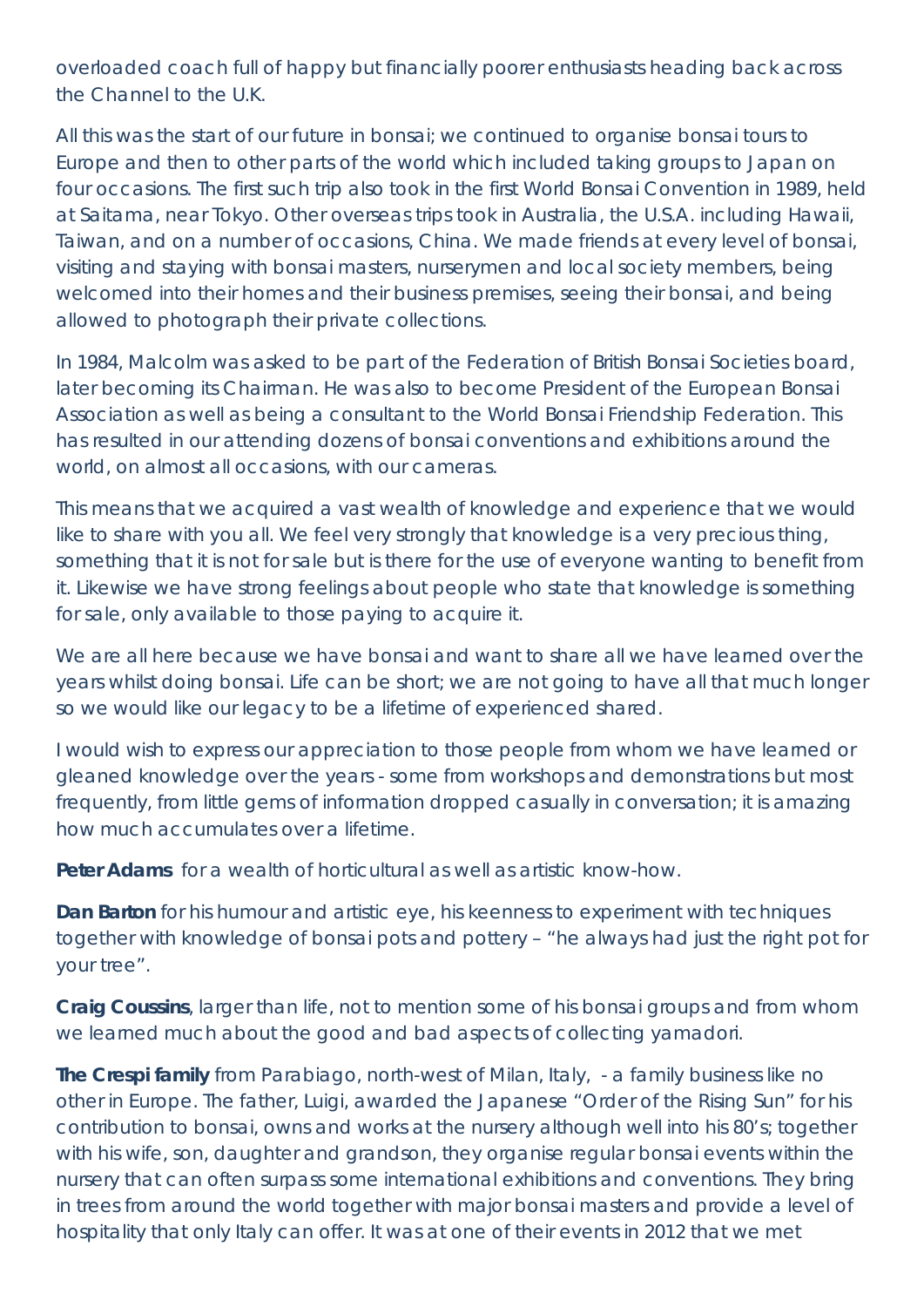overloaded coach full of happy but financially poorer enthusiasts heading back across the Channel to the U.K.

All this was the start of our future in bonsai; we continued to organise bonsai tours to Europe and then to other parts of the world which included taking groups to Japan on four occasions. The first such trip also took in the first World Bonsai Convention in 1989, held at Saitama, near Tokyo. Other overseas trips took in Australia, the U.S.A. including Hawaii, Taiwan, and on a number of occasions, China. We made friends at every level of bonsai, visiting and staying with bonsai masters, nurserymen and local society members, being welcomed into their homes and their business premises, seeing their bonsai, and being allowed to photograph their private collections.

In 1984, Malcolm was asked to be part of the Federation of British Bonsai Societies board, later becoming its Chairman. He was also to become President of the European Bonsai Association as well as being a consultant to the World Bonsai Friendship Federation. This has resulted in our attending dozens of bonsai conventions and exhibitions around the world, on almost all occasions, with our cameras.

This means that we acquired a vast wealth of knowledge and experience that we would like to share with you all. We feel very strongly that knowledge is a very precious thing, something that it is not for sale but is there for the use of everyone wanting to benefit from it. Likewise we have strong feelings about people who state that knowledge is something for sale, only available to those paying to acquire it.

We are all here because we have bonsai and want to share all we have learned over the years whilst doing bonsai. Life can be short; we are not going to have all that much longer so we would like our legacy to be a lifetime of experienced shared.

I would wish to express our appreciation to those people from whom we have learned or gleaned knowledge over the years - some from workshops and demonstrations but most frequently, from little gems of information dropped casually in conversation; it is amazing how much accumulates over a lifetime.

**Peter Adams** for a wealth of horticultural as well as artistic know-how.

**Dan Barton** for his humour and artistic eye, his keenness to experiment with techniques together with knowledge of bonsai pots and pottery – "he always had just the right pot for your tree".

**Craig Coussins**, larger than life, not to mention some of his bonsai groups and from whom we learned much about the good and bad aspects of collecting yamadori.

**The Crespi family** from Parabiago, north-west of Milan, Italy, - a family business like no other in Europe. The father, Luigi, awarded the Japanese "Order of the Rising Sun" for his contribution to bonsai, owns and works at the nursery although well into his 80's; together with his wife, son, daughter and grandson, they organise regular bonsai events within the nursery that can often surpass some international exhibitions and conventions. They bring in trees from around the world together with major bonsai masters and provide a level of hospitality that only Italy can offer. It was at one of their events in 2012 that we met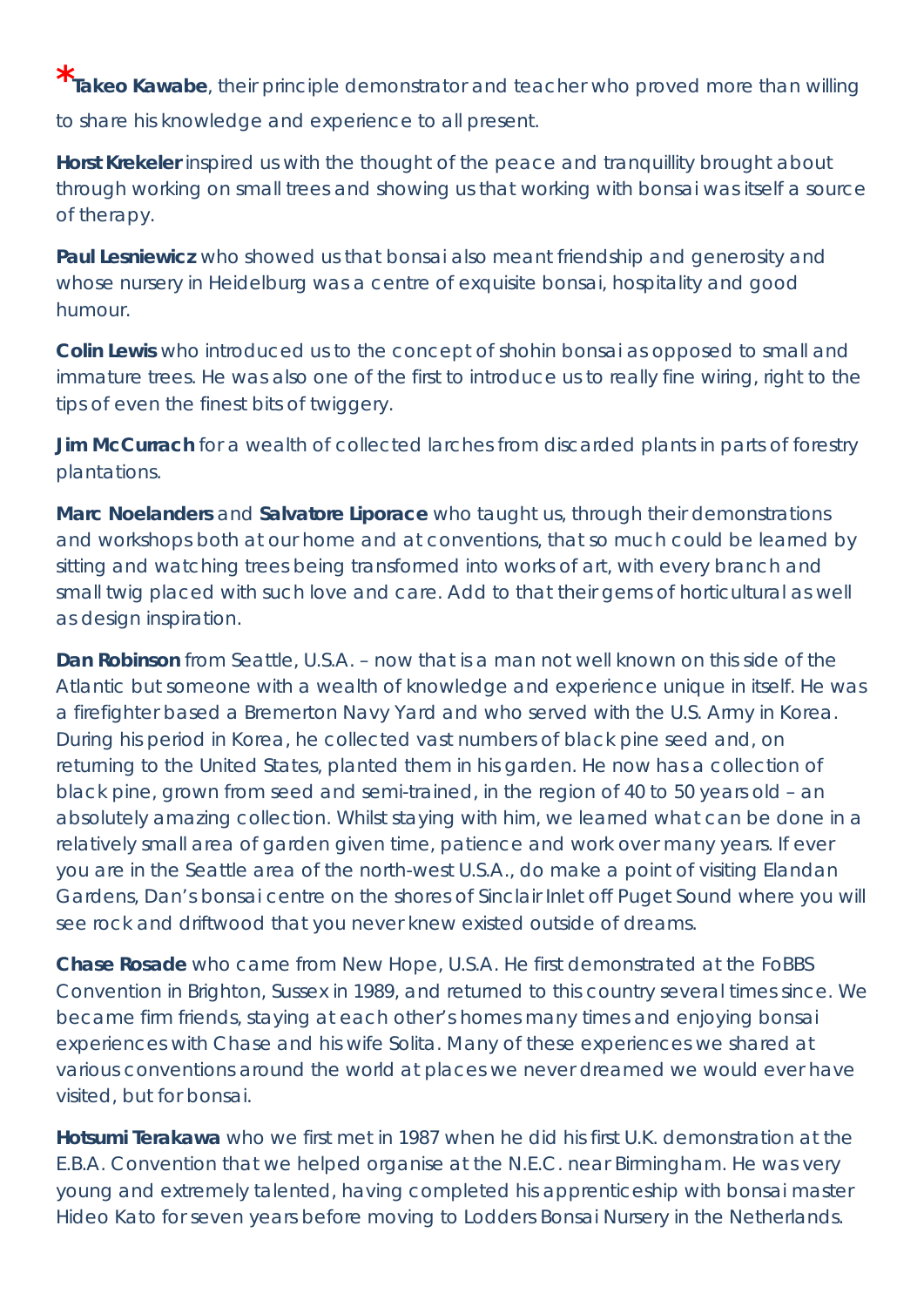**\* Takeo Kawabe**, their principle demonstrator and teacher who proved more than willing to share his knowledge and experience to all present.

**Horst Krekeler** inspired us with the thought of the peace and tranquillity brought about through working on small trees and showing us that working with bonsai was itself a source of therapy.

**Paul Lesniewicz** who showed us that bonsai also meant friendship and generosity and whose nursery in Heidelburg was a centre of exquisite bonsai, hospitality and good humour.

**Colin Lewis** who introduced us to the concept of shohin bonsai as opposed to small and immature trees. He was also one of the first to introduce us to really fine wiring, right to the tips of even the finest bits of twiggery.

**Jim McCurrach** for a wealth of collected larches from discarded plants in parts of forestry plantations.

**Marc Noelanders** and **Salvatore Liporace** who taught us, through their demonstrations and workshops both at our home and at conventions, that so much could be learned by sitting and watching trees being transformed into works of art, with every branch and small twig placed with such love and care. Add to that their gems of horticultural as well as design inspiration.

**Dan Robinson** from Seattle, U.S.A. – now that is a man not well known on this side of the Atlantic but someone with a wealth of knowledge and experience unique in itself. He was a firefighter based a Bremerton Navy Yard and who served with the U.S. Army in Korea. During his period in Korea, he collected vast numbers of black pine seed and, on returning to the United States, planted them in his garden. He now has a collection of black pine, grown from seed and semi-trained, in the region of 40 to 50 years old – an absolutely amazing collection. Whilst staying with him, we learned what can be done in a relatively small area of garden given time, patience and work over many years. If ever you are in the Seattle area of the north-west U.S.A., do make a point of visiting Elandan Gardens, Dan's bonsai centre on the shores of Sinclair Inlet off Puget Sound where you will see rock and driftwood that you never knew existed outside of dreams.

**Chase Rosade** who came from New Hope, U.S.A. He first demonstrated at the FoBBS Convention in Brighton, Sussex in 1989, and returned to this country several times since. We became firm friends, staying at each other's homes many times and enjoying bonsai experiences with Chase and his wife Solita. Many of these experiences we shared at various conventions around the world at places we never dreamed we would ever have visited, but for bonsai.

**Hotsumi Terakawa** who we first met in 1987 when he did his first U.K. demonstration at the E.B.A. Convention that we helped organise at the N.E.C. near Birmingham. He was very young and extremely talented, having completed his apprenticeship with bonsai master Hideo Kato for seven years before moving to Lodders Bonsai Nursery in the Netherlands.